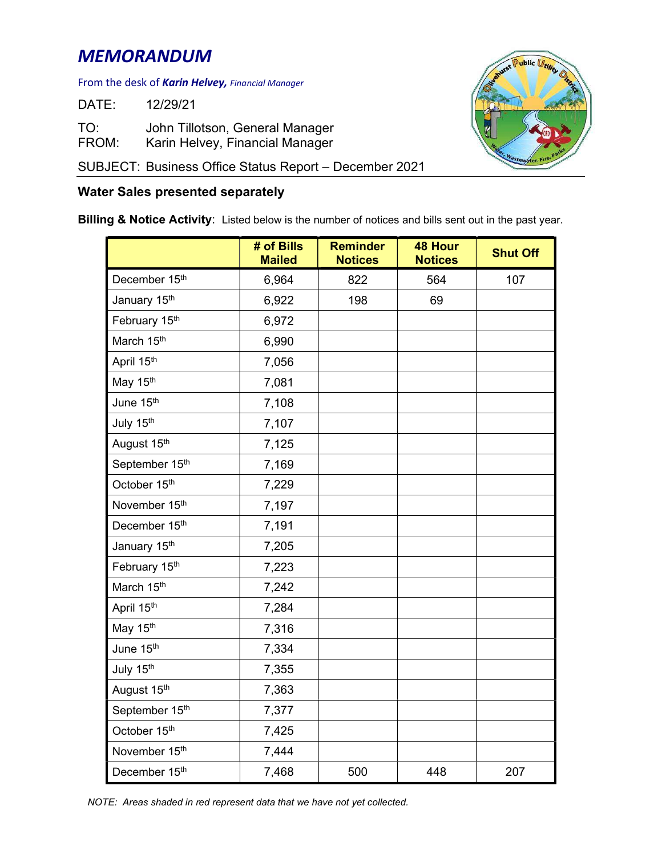## MEMORANDUM

## From the desk of **Karin Helvey,** Financial Manager

DATE: 12/29/21

TO: John Tillotson, General Manager FROM: Karin Helvey, Financial Manager

SUBJECT: Business Office Status Report – December 2021

## Water Sales presented separately

Billing & Notice Activity: Listed below is the number of notices and bills sent out in the past year.

|                | # of Bills<br><b>Mailed</b> | <b>Reminder</b><br><b>Notices</b> | <b>48 Hour</b><br><b>Notices</b> | <b>Shut Off</b> |
|----------------|-----------------------------|-----------------------------------|----------------------------------|-----------------|
| December 15th  | 6,964                       | 822                               | 564                              | 107             |
| January 15th   | 6,922                       | 198                               | 69                               |                 |
| February 15th  | 6,972                       |                                   |                                  |                 |
| March 15th     | 6,990                       |                                   |                                  |                 |
| April 15th     | 7,056                       |                                   |                                  |                 |
| May 15th       | 7,081                       |                                   |                                  |                 |
| June 15th      | 7,108                       |                                   |                                  |                 |
| July 15th      | 7,107                       |                                   |                                  |                 |
| August 15th    | 7,125                       |                                   |                                  |                 |
| September 15th | 7,169                       |                                   |                                  |                 |
| October 15th   | 7,229                       |                                   |                                  |                 |
| November 15th  | 7,197                       |                                   |                                  |                 |
| December 15th  | 7,191                       |                                   |                                  |                 |
| January 15th   | 7,205                       |                                   |                                  |                 |
| February 15th  | 7,223                       |                                   |                                  |                 |
| March 15th     | 7,242                       |                                   |                                  |                 |
| April 15th     | 7,284                       |                                   |                                  |                 |
| May 15th       | 7,316                       |                                   |                                  |                 |
| June 15th      | 7,334                       |                                   |                                  |                 |
| July 15th      | 7,355                       |                                   |                                  |                 |
| August 15th    | 7,363                       |                                   |                                  |                 |
| September 15th | 7,377                       |                                   |                                  |                 |
| October 15th   | 7,425                       |                                   |                                  |                 |
| November 15th  | 7,444                       |                                   |                                  |                 |
| December 15th  | 7,468                       | 500                               | 448                              | 207             |



NOTE: Areas shaded in red represent data that we have not yet collected.